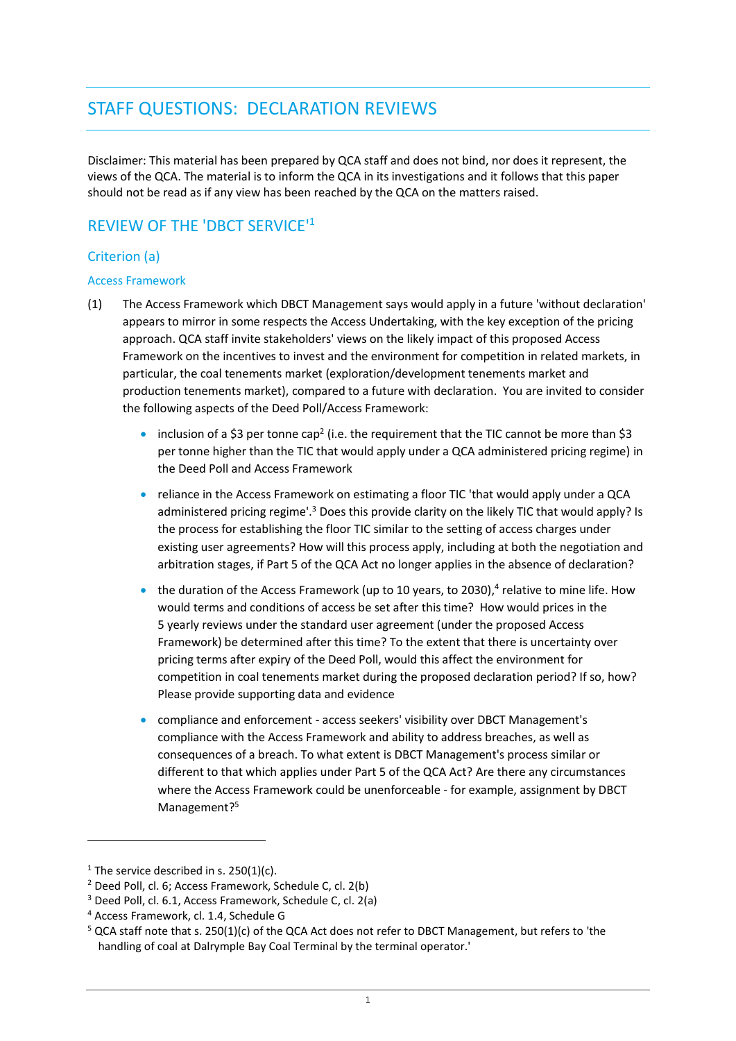# STAFF QUESTIONS: DECLARATION REVIEWS

Disclaimer: This material has been prepared by QCA staff and does not bind, nor does it represent, the views of the QCA. The material is to inform the QCA in its investigations and it follows that this paper should not be read as if any view has been reached by the QCA on the matters raised.

## REVIEW OF THE 'DBCT SERVICE' 1

## Criterion (a)

#### Access Framework

- (1) The Access Framework which DBCT Management says would apply in a future 'without declaration' appears to mirror in some respects the Access Undertaking, with the key exception of the pricing approach. QCA staff invite stakeholders' views on the likely impact of this proposed Access Framework on the incentives to invest and the environment for competition in related markets, in particular, the coal tenements market (exploration/development tenements market and production tenements market), compared to a future with declaration. You are invited to consider the following aspects of the Deed Poll/Access Framework:
	- inclusion of a \$3 per tonne cap<sup>2</sup> (i.e. the requirement that the TIC cannot be more than \$3 per tonne higher than the TIC that would apply under a QCA administered pricing regime) in the Deed Poll and Access Framework
	- reliance in the Access Framework on estimating a floor TIC 'that would apply under a QCA administered pricing regime'.<sup>3</sup> Does this provide clarity on the likely TIC that would apply? Is the process for establishing the floor TIC similar to the setting of access charges under existing user agreements? How will this process apply, including at both the negotiation and arbitration stages, if Part 5 of the QCA Act no longer applies in the absence of declaration?
	- $\bullet$  the duration of the Access Framework (up to 10 years, to 2030),<sup>4</sup> relative to mine life. How would terms and conditions of access be set after this time? How would prices in the 5 yearly reviews under the standard user agreement (under the proposed Access Framework) be determined after this time? To the extent that there is uncertainty over pricing terms after expiry of the Deed Poll, would this affect the environment for competition in coal tenements market during the proposed declaration period? If so, how? Please provide supporting data and evidence
	- compliance and enforcement access seekers' visibility over DBCT Management's compliance with the Access Framework and ability to address breaches, as well as consequences of a breach. To what extent is DBCT Management's process similar or different to that which applies under Part 5 of the QCA Act? Are there any circumstances where the Access Framework could be unenforceable - for example, assignment by DBCT Management?<sup>5</sup>

 $\overline{a}$ 

<sup>&</sup>lt;sup>1</sup> The service described in s.  $250(1)(c)$ .

<sup>2</sup> Deed Poll, cl. 6; Access Framework, Schedule C, cl. 2(b)

<sup>3</sup> Deed Poll, cl. 6.1, Access Framework, Schedule C, cl. 2(a)

<sup>4</sup> Access Framework, cl. 1.4, Schedule G

<sup>5</sup> QCA staff note that s. 250(1)(c) of the QCA Act does not refer to DBCT Management, but refers to 'the handling of coal at Dalrymple Bay Coal Terminal by the terminal operator.'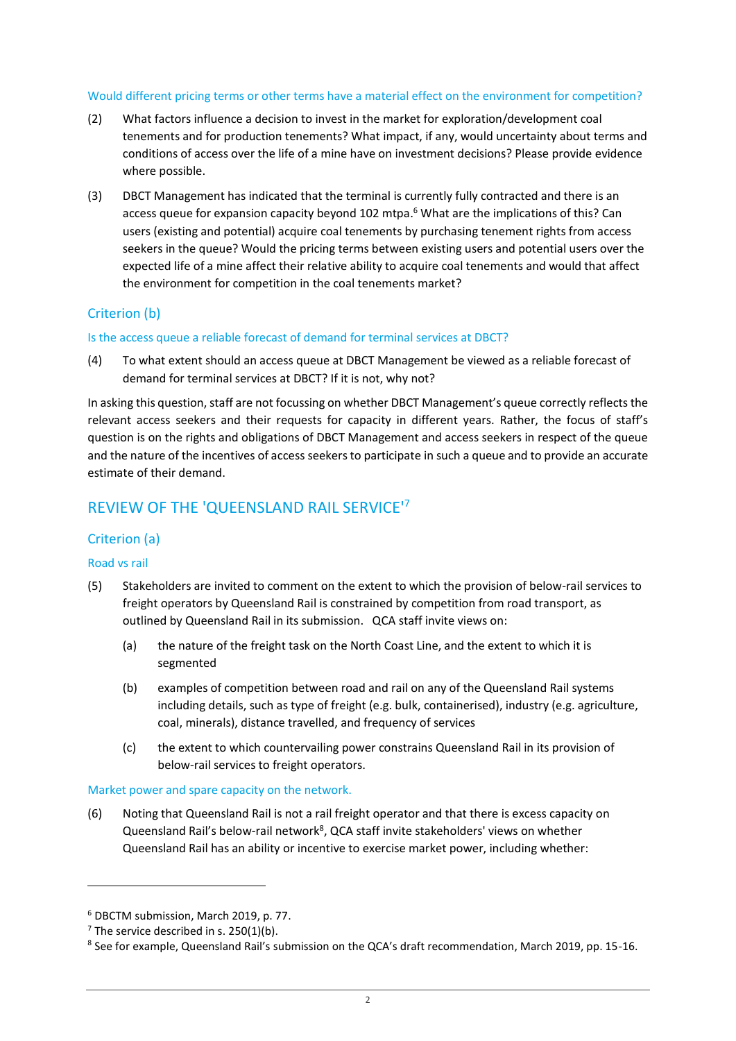#### Would different pricing terms or other terms have a material effect on the environment for competition?

- (2) What factors influence a decision to invest in the market for exploration/development coal tenements and for production tenements? What impact, if any, would uncertainty about terms and conditions of access over the life of a mine have on investment decisions? Please provide evidence where possible.
- (3) DBCT Management has indicated that the terminal is currently fully contracted and there is an access queue for expansion capacity beyond 102 mtpa. <sup>6</sup> What are the implications of this? Can users (existing and potential) acquire coal tenements by purchasing tenement rights from access seekers in the queue? Would the pricing terms between existing users and potential users over the expected life of a mine affect their relative ability to acquire coal tenements and would that affect the environment for competition in the coal tenements market?

### Criterion (b)

#### Is the access queue a reliable forecast of demand for terminal services at DBCT?

(4) To what extent should an access queue at DBCT Management be viewed as a reliable forecast of demand for terminal services at DBCT? If it is not, why not?

In asking this question, staff are not focussing on whether DBCT Management's queue correctly reflects the relevant access seekers and their requests for capacity in different years. Rather, the focus of staff's question is on the rights and obligations of DBCT Management and access seekers in respect of the queue and the nature of the incentives of access seekers to participate in such a queue and to provide an accurate estimate of their demand.

## REVIEW OF THE 'QUEENSLAND RAIL SERVICE'<sup>7</sup>

### Criterion (a)

#### Road vs rail

 $\overline{a}$ 

- (5) Stakeholders are invited to comment on the extent to which the provision of below-rail services to freight operators by Queensland Rail is constrained by competition from road transport, as outlined by Queensland Rail in its submission. QCA staff invite views on:
	- (a) the nature of the freight task on the North Coast Line, and the extent to which it is segmented
	- (b) examples of competition between road and rail on any of the Queensland Rail systems including details, such as type of freight (e.g. bulk, containerised), industry (e.g. agriculture, coal, minerals), distance travelled, and frequency of services
	- (c) the extent to which countervailing power constrains Queensland Rail in its provision of below-rail services to freight operators.

#### Market power and spare capacity on the network.

(6) Noting that Queensland Rail is not a rail freight operator and that there is excess capacity on Queensland Rail's below-rail network<sup>8</sup>, QCA staff invite stakeholders' views on whether Queensland Rail has an ability or incentive to exercise market power, including whether:

<sup>6</sup> DBCTM submission, March 2019, p. 77.

 $<sup>7</sup>$  The service described in s. 250(1)(b).</sup>

<sup>&</sup>lt;sup>8</sup> See for example, Queensland Rail's submission on the QCA's draft recommendation, March 2019, pp. 15-16.